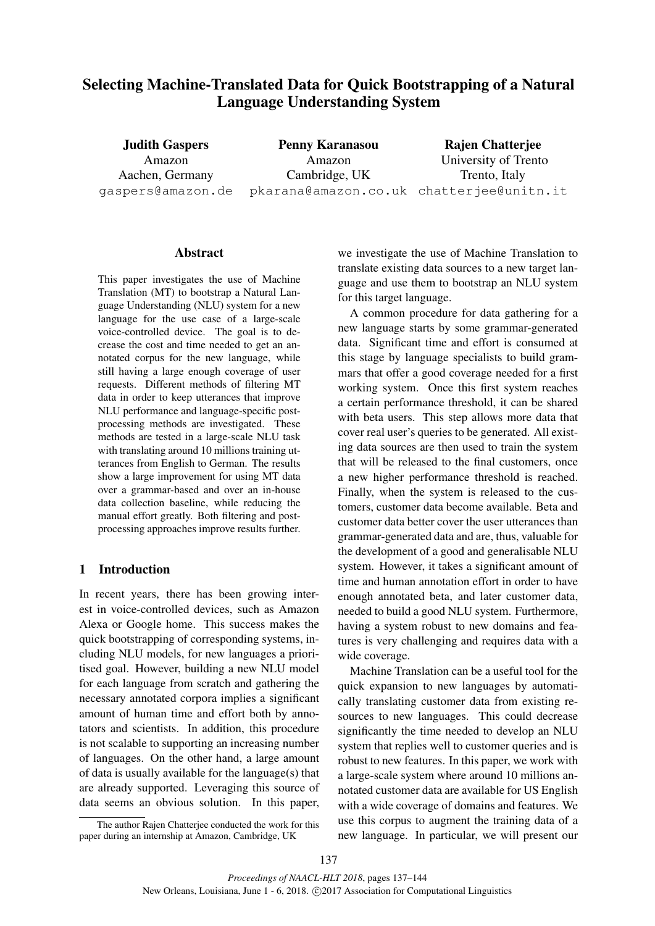# Selecting Machine-Translated Data for Quick Bootstrapping of a Natural Language Understanding System

Judith Gaspers Amazon Aachen, Germany gaspers@amazon.de

Penny Karanasou Amazon Cambridge, UK pkarana@amazon.co.uk chatterjee@unitn.it Rajen Chatterjee University of Trento Trento, Italy

## Abstract

This paper investigates the use of Machine Translation (MT) to bootstrap a Natural Language Understanding (NLU) system for a new language for the use case of a large-scale voice-controlled device. The goal is to decrease the cost and time needed to get an annotated corpus for the new language, while still having a large enough coverage of user requests. Different methods of filtering MT data in order to keep utterances that improve NLU performance and language-specific postprocessing methods are investigated. These methods are tested in a large-scale NLU task with translating around 10 millions training utterances from English to German. The results show a large improvement for using MT data over a grammar-based and over an in-house data collection baseline, while reducing the manual effort greatly. Both filtering and postprocessing approaches improve results further.

## 1 Introduction

In recent years, there has been growing interest in voice-controlled devices, such as Amazon Alexa or Google home. This success makes the quick bootstrapping of corresponding systems, including NLU models, for new languages a prioritised goal. However, building a new NLU model for each language from scratch and gathering the necessary annotated corpora implies a significant amount of human time and effort both by annotators and scientists. In addition, this procedure is not scalable to supporting an increasing number of languages. On the other hand, a large amount of data is usually available for the language(s) that are already supported. Leveraging this source of data seems an obvious solution. In this paper,

we investigate the use of Machine Translation to translate existing data sources to a new target language and use them to bootstrap an NLU system for this target language.

A common procedure for data gathering for a new language starts by some grammar-generated data. Significant time and effort is consumed at this stage by language specialists to build grammars that offer a good coverage needed for a first working system. Once this first system reaches a certain performance threshold, it can be shared with beta users. This step allows more data that cover real user's queries to be generated. All existing data sources are then used to train the system that will be released to the final customers, once a new higher performance threshold is reached. Finally, when the system is released to the customers, customer data become available. Beta and customer data better cover the user utterances than grammar-generated data and are, thus, valuable for the development of a good and generalisable NLU system. However, it takes a significant amount of time and human annotation effort in order to have enough annotated beta, and later customer data, needed to build a good NLU system. Furthermore, having a system robust to new domains and features is very challenging and requires data with a wide coverage.

Machine Translation can be a useful tool for the quick expansion to new languages by automatically translating customer data from existing resources to new languages. This could decrease significantly the time needed to develop an NLU system that replies well to customer queries and is robust to new features. In this paper, we work with a large-scale system where around 10 millions annotated customer data are available for US English with a wide coverage of domains and features. We use this corpus to augment the training data of a new language. In particular, we will present our

The author Rajen Chatterjee conducted the work for this paper during an internship at Amazon, Cambridge, UK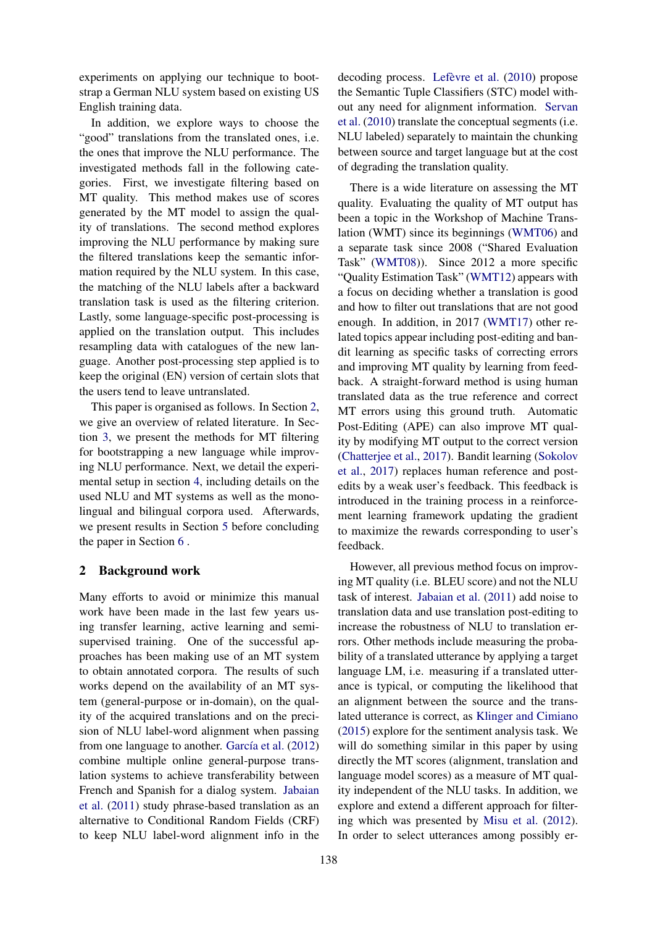experiments on applying our technique to bootstrap a German NLU system based on existing US English training data.

In addition, we explore ways to choose the "good" translations from the translated ones, i.e. the ones that improve the NLU performance. The investigated methods fall in the following categories. First, we investigate filtering based on MT quality. This method makes use of scores generated by the MT model to assign the quality of translations. The second method explores improving the NLU performance by making sure the filtered translations keep the semantic information required by the NLU system. In this case, the matching of the NLU labels after a backward translation task is used as the filtering criterion. Lastly, some language-specific post-processing is applied on the translation output. This includes resampling data with catalogues of the new language. Another post-processing step applied is to keep the original (EN) version of certain slots that the users tend to leave untranslated.

This paper is organised as follows. In Section 2, we give an overview of related literature. In Section 3, we present the methods for MT filtering for bootstrapping a new language while improving NLU performance. Next, we detail the experimental setup in section 4, including details on the used NLU and MT systems as well as the monolingual and bilingual corpora used. Afterwards, we present results in Section 5 before concluding the paper in Section 6 .

#### 2 Background work

Many efforts to avoid or minimize this manual work have been made in the last few years using transfer learning, active learning and semisupervised training. One of the successful approaches has been making use of an MT system to obtain annotated corpora. The results of such works depend on the availability of an MT system (general-purpose or in-domain), on the quality of the acquired translations and on the precision of NLU label-word alignment when passing from one language to another. García et al. (2012) combine multiple online general-purpose translation systems to achieve transferability between French and Spanish for a dialog system. Jabaian et al. (2011) study phrase-based translation as an alternative to Conditional Random Fields (CRF) to keep NLU label-word alignment info in the

decoding process. Lefèvre et al.  $(2010)$  propose the Semantic Tuple Classifiers (STC) model without any need for alignment information. Servan et al. (2010) translate the conceptual segments (i.e. NLU labeled) separately to maintain the chunking between source and target language but at the cost of degrading the translation quality.

There is a wide literature on assessing the MT quality. Evaluating the quality of MT output has been a topic in the Workshop of Machine Translation (WMT) since its beginnings (WMT06) and a separate task since 2008 ("Shared Evaluation Task" (WMT08)). Since 2012 a more specific "Quality Estimation Task" (WMT12) appears with a focus on deciding whether a translation is good and how to filter out translations that are not good enough. In addition, in 2017 (WMT17) other related topics appear including post-editing and bandit learning as specific tasks of correcting errors and improving MT quality by learning from feedback. A straight-forward method is using human translated data as the true reference and correct MT errors using this ground truth. Automatic Post-Editing (APE) can also improve MT quality by modifying MT output to the correct version (Chatterjee et al., 2017). Bandit learning (Sokolov et al., 2017) replaces human reference and postedits by a weak user's feedback. This feedback is introduced in the training process in a reinforcement learning framework updating the gradient to maximize the rewards corresponding to user's feedback.

However, all previous method focus on improving MT quality (i.e. BLEU score) and not the NLU task of interest. Jabaian et al. (2011) add noise to translation data and use translation post-editing to increase the robustness of NLU to translation errors. Other methods include measuring the probability of a translated utterance by applying a target language LM, i.e. measuring if a translated utterance is typical, or computing the likelihood that an alignment between the source and the translated utterance is correct, as Klinger and Cimiano (2015) explore for the sentiment analysis task. We will do something similar in this paper by using directly the MT scores (alignment, translation and language model scores) as a measure of MT quality independent of the NLU tasks. In addition, we explore and extend a different approach for filtering which was presented by Misu et al. (2012). In order to select utterances among possibly er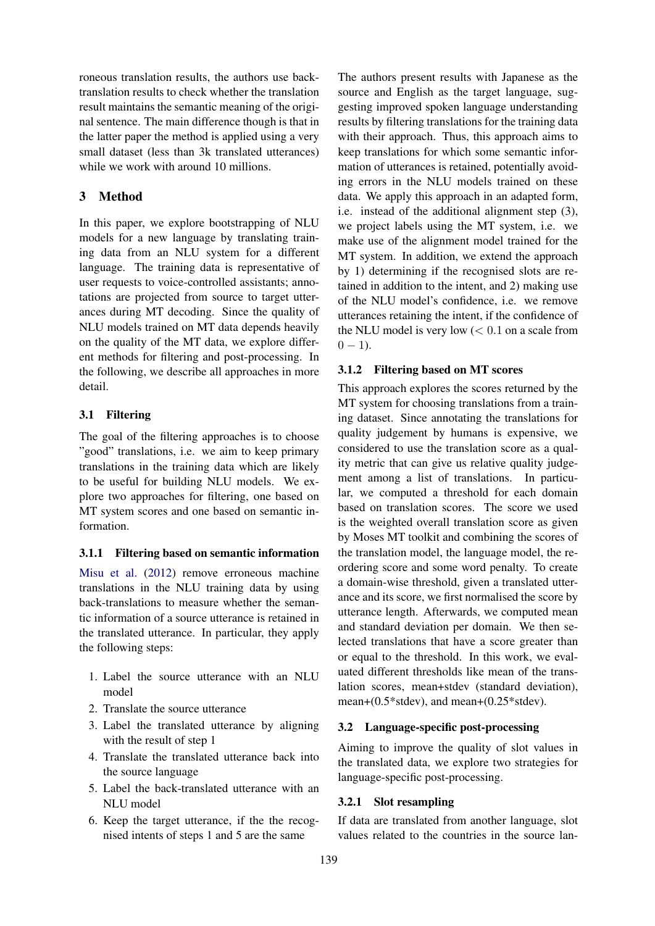roneous translation results, the authors use backtranslation results to check whether the translation result maintains the semantic meaning of the original sentence. The main difference though is that in the latter paper the method is applied using a very small dataset (less than 3k translated utterances) while we work with around 10 millions.

## 3 Method

In this paper, we explore bootstrapping of NLU models for a new language by translating training data from an NLU system for a different language. The training data is representative of user requests to voice-controlled assistants; annotations are projected from source to target utterances during MT decoding. Since the quality of NLU models trained on MT data depends heavily on the quality of the MT data, we explore different methods for filtering and post-processing. In the following, we describe all approaches in more detail.

## 3.1 Filtering

The goal of the filtering approaches is to choose "good" translations, i.e. we aim to keep primary translations in the training data which are likely to be useful for building NLU models. We explore two approaches for filtering, one based on MT system scores and one based on semantic information.

#### 3.1.1 Filtering based on semantic information

Misu et al. (2012) remove erroneous machine translations in the NLU training data by using back-translations to measure whether the semantic information of a source utterance is retained in the translated utterance. In particular, they apply the following steps:

- 1. Label the source utterance with an NLU model
- 2. Translate the source utterance
- 3. Label the translated utterance by aligning with the result of step 1
- 4. Translate the translated utterance back into the source language
- 5. Label the back-translated utterance with an NLLI model
- 6. Keep the target utterance, if the the recognised intents of steps 1 and 5 are the same

The authors present results with Japanese as the source and English as the target language, suggesting improved spoken language understanding results by filtering translations for the training data with their approach. Thus, this approach aims to keep translations for which some semantic information of utterances is retained, potentially avoiding errors in the NLU models trained on these data. We apply this approach in an adapted form, i.e. instead of the additional alignment step (3), we project labels using the MT system, i.e. we make use of the alignment model trained for the MT system. In addition, we extend the approach by 1) determining if the recognised slots are retained in addition to the intent, and 2) making use of the NLU model's confidence, i.e. we remove utterances retaining the intent, if the confidence of the NLU model is very low  $( $0.1$  on a scale from$  $0 - 1$ ).

#### 3.1.2 Filtering based on MT scores

This approach explores the scores returned by the MT system for choosing translations from a training dataset. Since annotating the translations for quality judgement by humans is expensive, we considered to use the translation score as a quality metric that can give us relative quality judgement among a list of translations. In particular, we computed a threshold for each domain based on translation scores. The score we used is the weighted overall translation score as given by Moses MT toolkit and combining the scores of the translation model, the language model, the reordering score and some word penalty. To create a domain-wise threshold, given a translated utterance and its score, we first normalised the score by utterance length. Afterwards, we computed mean and standard deviation per domain. We then selected translations that have a score greater than or equal to the threshold. In this work, we evaluated different thresholds like mean of the translation scores, mean+stdev (standard deviation), mean+(0.5\*stdev), and mean+(0.25\*stdev).

#### 3.2 Language-specific post-processing

Aiming to improve the quality of slot values in the translated data, we explore two strategies for language-specific post-processing.

#### 3.2.1 Slot resampling

If data are translated from another language, slot values related to the countries in the source lan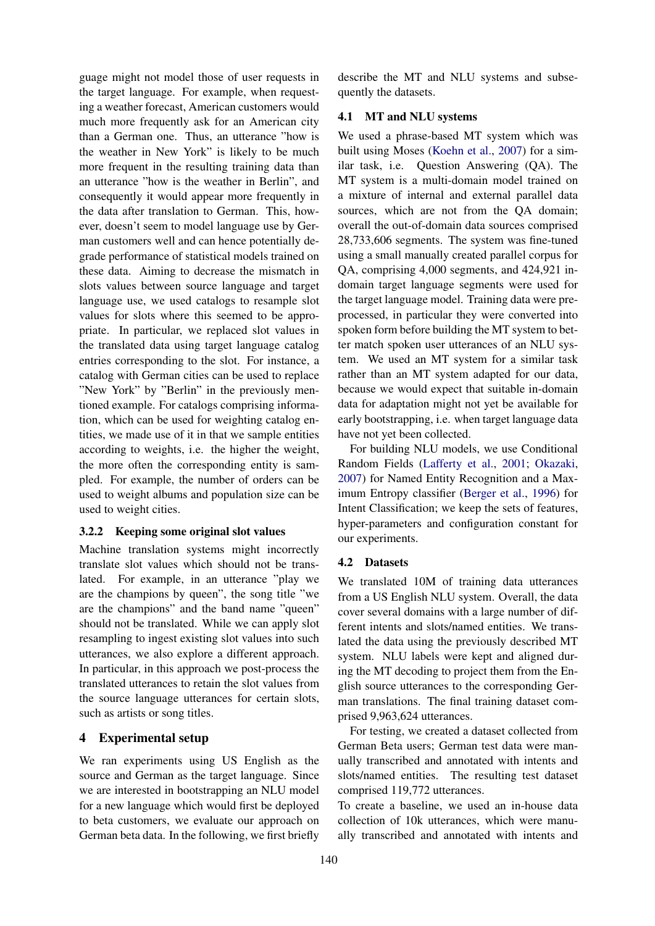guage might not model those of user requests in the target language. For example, when requesting a weather forecast, American customers would much more frequently ask for an American city than a German one. Thus, an utterance "how is the weather in New York" is likely to be much more frequent in the resulting training data than an utterance "how is the weather in Berlin", and consequently it would appear more frequently in the data after translation to German. This, however, doesn't seem to model language use by German customers well and can hence potentially degrade performance of statistical models trained on these data. Aiming to decrease the mismatch in slots values between source language and target language use, we used catalogs to resample slot values for slots where this seemed to be appropriate. In particular, we replaced slot values in the translated data using target language catalog entries corresponding to the slot. For instance, a catalog with German cities can be used to replace "New York" by "Berlin" in the previously mentioned example. For catalogs comprising information, which can be used for weighting catalog entities, we made use of it in that we sample entities according to weights, i.e. the higher the weight, the more often the corresponding entity is sampled. For example, the number of orders can be used to weight albums and population size can be used to weight cities.

## 3.2.2 Keeping some original slot values

Machine translation systems might incorrectly translate slot values which should not be translated. For example, in an utterance "play we are the champions by queen", the song title "we are the champions" and the band name "queen" should not be translated. While we can apply slot resampling to ingest existing slot values into such utterances, we also explore a different approach. In particular, in this approach we post-process the translated utterances to retain the slot values from the source language utterances for certain slots, such as artists or song titles.

## 4 Experimental setup

We ran experiments using US English as the source and German as the target language. Since we are interested in bootstrapping an NLU model for a new language which would first be deployed to beta customers, we evaluate our approach on German beta data. In the following, we first briefly

describe the MT and NLU systems and subsequently the datasets.

## 4.1 MT and NLU systems

We used a phrase-based MT system which was built using Moses (Koehn et al., 2007) for a similar task, i.e. Question Answering (QA). The MT system is a multi-domain model trained on a mixture of internal and external parallel data sources, which are not from the QA domain; overall the out-of-domain data sources comprised 28,733,606 segments. The system was fine-tuned using a small manually created parallel corpus for QA, comprising 4,000 segments, and 424,921 indomain target language segments were used for the target language model. Training data were preprocessed, in particular they were converted into spoken form before building the MT system to better match spoken user utterances of an NLU system. We used an MT system for a similar task rather than an MT system adapted for our data, because we would expect that suitable in-domain data for adaptation might not yet be available for early bootstrapping, i.e. when target language data have not yet been collected.

For building NLU models, we use Conditional Random Fields (Lafferty et al., 2001; Okazaki, 2007) for Named Entity Recognition and a Maximum Entropy classifier (Berger et al., 1996) for Intent Classification; we keep the sets of features, hyper-parameters and configuration constant for our experiments.

## 4.2 Datasets

We translated 10M of training data utterances from a US English NLU system. Overall, the data cover several domains with a large number of different intents and slots/named entities. We translated the data using the previously described MT system. NLU labels were kept and aligned during the MT decoding to project them from the English source utterances to the corresponding German translations. The final training dataset comprised 9,963,624 utterances.

For testing, we created a dataset collected from German Beta users; German test data were manually transcribed and annotated with intents and slots/named entities. The resulting test dataset comprised 119,772 utterances.

To create a baseline, we used an in-house data collection of 10k utterances, which were manually transcribed and annotated with intents and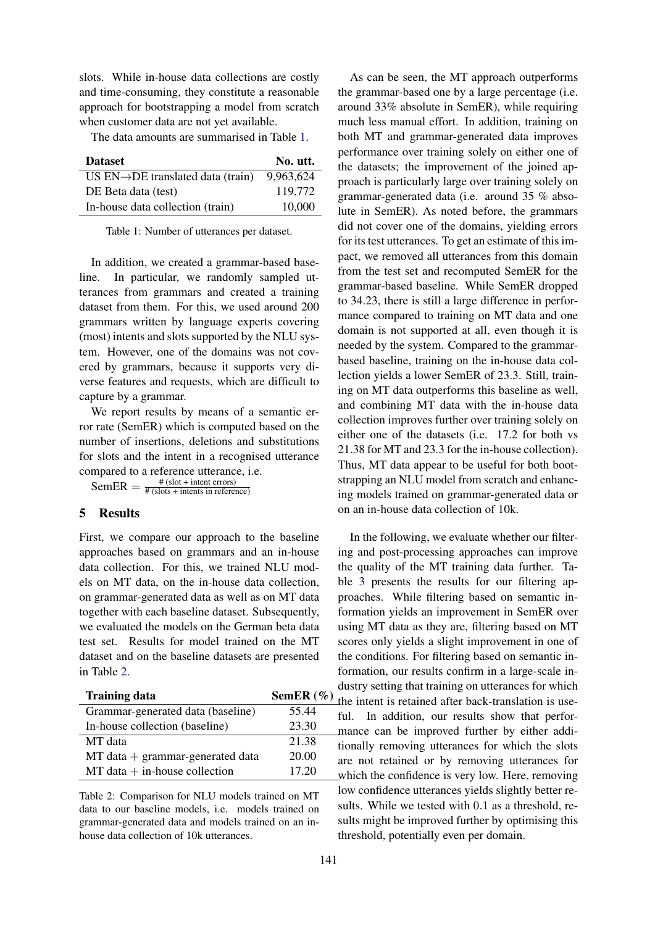slots. While in-house data collections are costly and time-consuming, they constitute a reasonable approach for bootstrapping a model from scratch when customer data are not yet available.

The data amounts are summarised in Table 1.

| <b>Dataset</b>                                | No. utt.  |
|-----------------------------------------------|-----------|
| US $EN\rightarrow DE$ translated data (train) | 9,963,624 |
| DE Beta data (test)                           | 119.772   |
| In-house data collection (train)              | 10.000    |

Table 1: Number of utterances per dataset.

In addition, we created a grammar-based baseline. In particular, we randomly sampled utterances from grammars and created a training dataset from them. For this, we used around 200 grammars written by language experts covering (most) intents and slots supported by the NLU system. However, one of the domains was not covered by grammars, because it supports very diverse features and requests, which are difficult to capture by a grammar.

We report results by means of a semantic error rate (SemER) which is computed based on the number of insertions, deletions and substitutions for slots and the intent in a recognised utterance compared to a reference utterance, i.e.

 $\text{SemER} = \frac{\#(\text{slot} + \text{intent errors})}{\#(\text{slot} + \text{intents in reference})}$ # (slots + intents in reference)

#### 5 Results

First, we compare our approach to the baseline approaches based on grammars and an in-house data collection. For this, we trained NLU models on MT data, on the in-house data collection, on grammar-generated data as well as on MT data together with each baseline dataset. Subsequently, we evaluated the models on the German beta data test set. Results for model trained on the MT dataset and on the baseline datasets are presented in Table 2.

| <b>Training data</b>               | SemER $(\% )$ |
|------------------------------------|---------------|
| Grammar-generated data (baseline)  | 55.44         |
| In-house collection (baseline)     | 23.30         |
| MT data                            | 21.38         |
| $MT data + grammar-generated data$ | 20.00         |
| $MT data + in$ -house collection   | 17.20         |

Table 2: Comparison for NLU models trained on MT data to our baseline models, i.e. models trained on grammar-generated data and models trained on an inhouse data collection of 10k utterances.

As can be seen, the MT approach outperforms the grammar-based one by a large percentage (i.e. around 33% absolute in SemER), while requiring much less manual effort. In addition, training on both MT and grammar-generated data improves performance over training solely on either one of the datasets; the improvement of the joined approach is particularly large over training solely on grammar-generated data (i.e. around 35 % absolute in SemER). As noted before, the grammars did not cover one of the domains, yielding errors for its test utterances. To get an estimate of this impact, we removed all utterances from this domain from the test set and recomputed SemER for the grammar-based baseline. While SemER dropped to 34.23, there is still a large difference in performance compared to training on MT data and one domain is not supported at all, even though it is needed by the system. Compared to the grammarbased baseline, training on the in-house data collection yields a lower SemER of 23.3. Still, training on MT data outperforms this baseline as well, and combining MT data with the in-house data collection improves further over training solely on either one of the datasets (i.e. 17.2 for both vs 21.38 for MT and 23.3 for the in-house collection). Thus, MT data appear to be useful for both bootstrapping an NLU model from scratch and enhancing models trained on grammar-generated data or on an in-house data collection of 10k.

In the following, we evaluate whether our filtering and post-processing approaches can improve the quality of the MT training data further. Table 3 presents the results for our filtering approaches. While filtering based on semantic information yields an improvement in SemER over using MT data as they are, filtering based on MT scores only yields a slight improvement in one of the conditions. For filtering based on semantic information, our results confirm in a large-scale industry setting that training on utterances for which ) the intent is retained after back-translation is useful. In addition, our results show that performance can be improved further by either additionally removing utterances for which the slots are not retained or by removing utterances for which the confidence is very low. Here, removing low confidence utterances yields slightly better results. While we tested with 0.1 as a threshold, results might be improved further by optimising this threshold, potentially even per domain.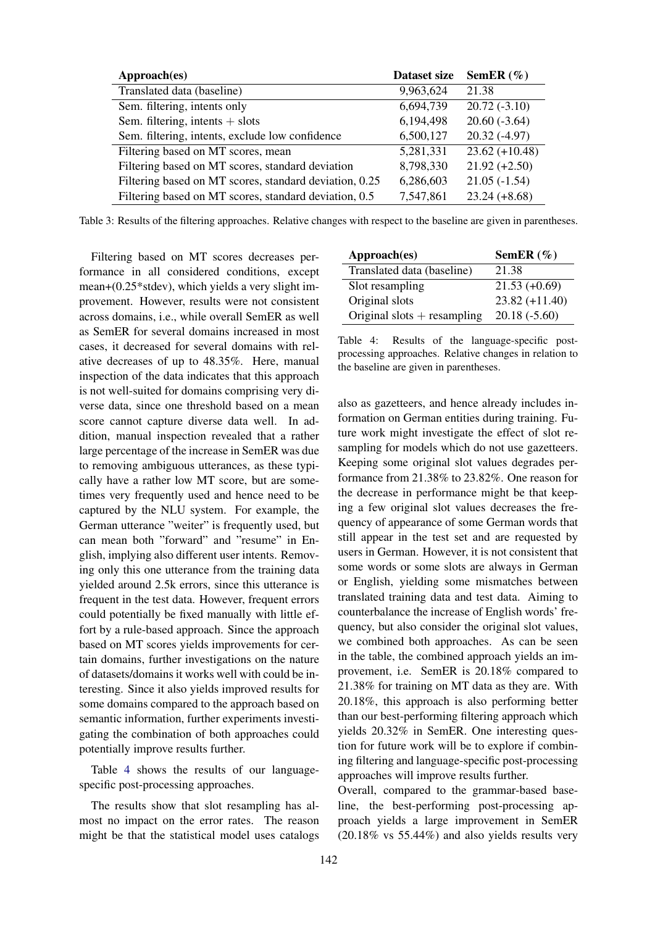| Approach(es)                                           | Dataset size | SemER $(\% )$    |
|--------------------------------------------------------|--------------|------------------|
| Translated data (baseline)                             | 9,963,624    | 21.38            |
| Sem. filtering, intents only                           | 6,694,739    | $20.72(-3.10)$   |
| Sem. filtering, intents $+$ slots                      | 6,194,498    | $20.60(-3.64)$   |
| Sem. filtering, intents, exclude low confidence        | 6,500,127    | $20.32(-4.97)$   |
| Filtering based on MT scores, mean                     | 5,281,331    | $23.62 (+10.48)$ |
| Filtering based on MT scores, standard deviation       | 8,798,330    | $21.92 (+2.50)$  |
| Filtering based on MT scores, standard deviation, 0.25 | 6,286,603    | $21.05(-1.54)$   |
| Filtering based on MT scores, standard deviation, 0.5  | 7,547,861    | $23.24 (+8.68)$  |

Table 3: Results of the filtering approaches. Relative changes with respect to the baseline are given in parentheses.

Filtering based on MT scores decreases performance in all considered conditions, except mean+(0.25\*stdev), which yields a very slight improvement. However, results were not consistent across domains, i.e., while overall SemER as well as SemER for several domains increased in most cases, it decreased for several domains with relative decreases of up to 48.35%. Here, manual inspection of the data indicates that this approach is not well-suited for domains comprising very diverse data, since one threshold based on a mean score cannot capture diverse data well. In addition, manual inspection revealed that a rather large percentage of the increase in SemER was due to removing ambiguous utterances, as these typically have a rather low MT score, but are sometimes very frequently used and hence need to be captured by the NLU system. For example, the German utterance "weiter" is frequently used, but can mean both "forward" and "resume" in English, implying also different user intents. Removing only this one utterance from the training data yielded around 2.5k errors, since this utterance is frequent in the test data. However, frequent errors could potentially be fixed manually with little effort by a rule-based approach. Since the approach based on MT scores yields improvements for certain domains, further investigations on the nature of datasets/domains it works well with could be interesting. Since it also yields improved results for some domains compared to the approach based on semantic information, further experiments investigating the combination of both approaches could potentially improve results further.

Table 4 shows the results of our languagespecific post-processing approaches.

The results show that slot resampling has almost no impact on the error rates. The reason might be that the statistical model uses catalogs

| Approach(es)                  | SemER $(\% )$    |
|-------------------------------|------------------|
| Translated data (baseline)    | 21.38            |
| Slot resampling               | $21.53(+0.69)$   |
| Original slots                | $23.82 (+11.40)$ |
| Original slots $+$ resampling | $20.18(-5.60)$   |

Table 4: Results of the language-specific postprocessing approaches. Relative changes in relation to the baseline are given in parentheses.

also as gazetteers, and hence already includes information on German entities during training. Future work might investigate the effect of slot resampling for models which do not use gazetteers. Keeping some original slot values degrades performance from 21.38% to 23.82%. One reason for the decrease in performance might be that keeping a few original slot values decreases the frequency of appearance of some German words that still appear in the test set and are requested by users in German. However, it is not consistent that some words or some slots are always in German or English, yielding some mismatches between translated training data and test data. Aiming to counterbalance the increase of English words' frequency, but also consider the original slot values, we combined both approaches. As can be seen in the table, the combined approach yields an improvement, i.e. SemER is 20.18% compared to 21.38% for training on MT data as they are. With 20.18%, this approach is also performing better than our best-performing filtering approach which yields 20.32% in SemER. One interesting question for future work will be to explore if combining filtering and language-specific post-processing approaches will improve results further.

Overall, compared to the grammar-based baseline, the best-performing post-processing approach yields a large improvement in SemER (20.18% vs 55.44%) and also yields results very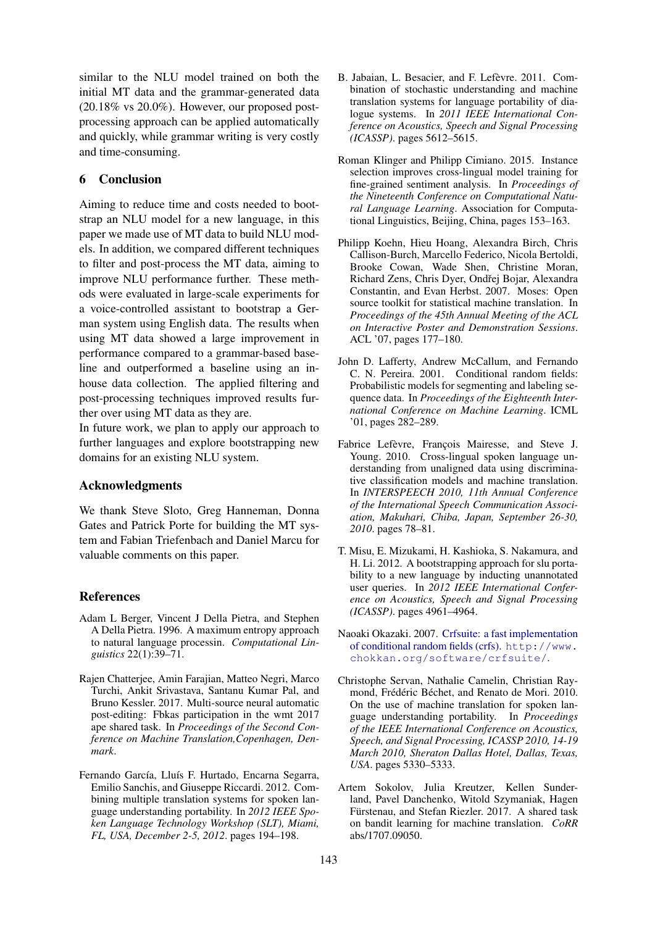similar to the NLU model trained on both the initial MT data and the grammar-generated data  $(20.18\% \text{ vs } 20.0\%)$ . However, our proposed postprocessing approach can be applied automatically and quickly, while grammar writing is very costly and time-consuming.

## 6 Conclusion

Aiming to reduce time and costs needed to bootstrap an NLU model for a new language, in this paper we made use of MT data to build NLU models. In addition, we compared different techniques to filter and post-process the MT data, aiming to improve NLU performance further. These methods were evaluated in large-scale experiments for a voice-controlled assistant to bootstrap a German system using English data. The results when using MT data showed a large improvement in performance compared to a grammar-based baseline and outperformed a baseline using an inhouse data collection. The applied filtering and post-processing techniques improved results further over using MT data as they are.

In future work, we plan to apply our approach to further languages and explore bootstrapping new domains for an existing NLU system.

#### Acknowledgments

We thank Steve Sloto, Greg Hanneman, Donna Gates and Patrick Porte for building the MT system and Fabian Triefenbach and Daniel Marcu for valuable comments on this paper.

#### References

- Adam L Berger, Vincent J Della Pietra, and Stephen A Della Pietra. 1996. A maximum entropy approach to natural language processin. *Computational Linguistics* 22(1):39–71.
- Rajen Chatterjee, Amin Farajian, Matteo Negri, Marco Turchi, Ankit Srivastava, Santanu Kumar Pal, and Bruno Kessler. 2017. Multi-source neural automatic post-editing: Fbkas participation in the wmt 2017 ape shared task. In *Proceedings of the Second Conference on Machine Translation,Copenhagen, Denmark*.
- Fernando García, Lluís F. Hurtado, Encarna Segarra, Emilio Sanchis, and Giuseppe Riccardi. 2012. Combining multiple translation systems for spoken language understanding portability. In *2012 IEEE Spoken Language Technology Workshop (SLT), Miami, FL, USA, December 2-5, 2012*. pages 194–198.
- B. Jabaian, L. Besacier, and F. Lefèvre. 2011. Combination of stochastic understanding and machine translation systems for language portability of dialogue systems. In *2011 IEEE International Conference on Acoustics, Speech and Signal Processing (ICASSP)*. pages 5612–5615.
- Roman Klinger and Philipp Cimiano. 2015. Instance selection improves cross-lingual model training for fine-grained sentiment analysis. In *Proceedings of the Nineteenth Conference on Computational Natural Language Learning*. Association for Computational Linguistics, Beijing, China, pages 153–163.
- Philipp Koehn, Hieu Hoang, Alexandra Birch, Chris Callison-Burch, Marcello Federico, Nicola Bertoldi, Brooke Cowan, Wade Shen, Christine Moran, Richard Zens, Chris Dyer, Ondřej Bojar, Alexandra Constantin, and Evan Herbst. 2007. Moses: Open source toolkit for statistical machine translation. In *Proceedings of the 45th Annual Meeting of the ACL on Interactive Poster and Demonstration Sessions*. ACL '07, pages 177–180.
- John D. Lafferty, Andrew McCallum, and Fernando C. N. Pereira. 2001. Conditional random fields: Probabilistic models for segmenting and labeling sequence data. In *Proceedings of the Eighteenth International Conference on Machine Learning*. ICML '01, pages 282–289.
- Fabrice Lefèvre, François Mairesse, and Steve J. Young. 2010. Cross-lingual spoken language understanding from unaligned data using discriminative classification models and machine translation. In *INTERSPEECH 2010, 11th Annual Conference of the International Speech Communication Association, Makuhari, Chiba, Japan, September 26-30, 2010*. pages 78–81.
- T. Misu, E. Mizukami, H. Kashioka, S. Nakamura, and H. Li. 2012. A bootstrapping approach for slu portability to a new language by inducting unannotated user queries. In *2012 IEEE International Conference on Acoustics, Speech and Signal Processing (ICASSP)*. pages 4961–4964.
- Naoaki Okazaki. 2007. Crfsuite: a fast implementation of conditional random fields (crfs). http://www. chokkan.org/software/crfsuite/.
- Christophe Servan, Nathalie Camelin, Christian Raymond, Frédéric Béchet, and Renato de Mori. 2010. On the use of machine translation for spoken language understanding portability. In *Proceedings of the IEEE International Conference on Acoustics, Speech, and Signal Processing, ICASSP 2010, 14-19 March 2010, Sheraton Dallas Hotel, Dallas, Texas, USA*. pages 5330–5333.
- Artem Sokolov, Julia Kreutzer, Kellen Sunderland, Pavel Danchenko, Witold Szymaniak, Hagen Fürstenau, and Stefan Riezler. 2017. A shared task on bandit learning for machine translation. *CoRR* abs/1707.09050.